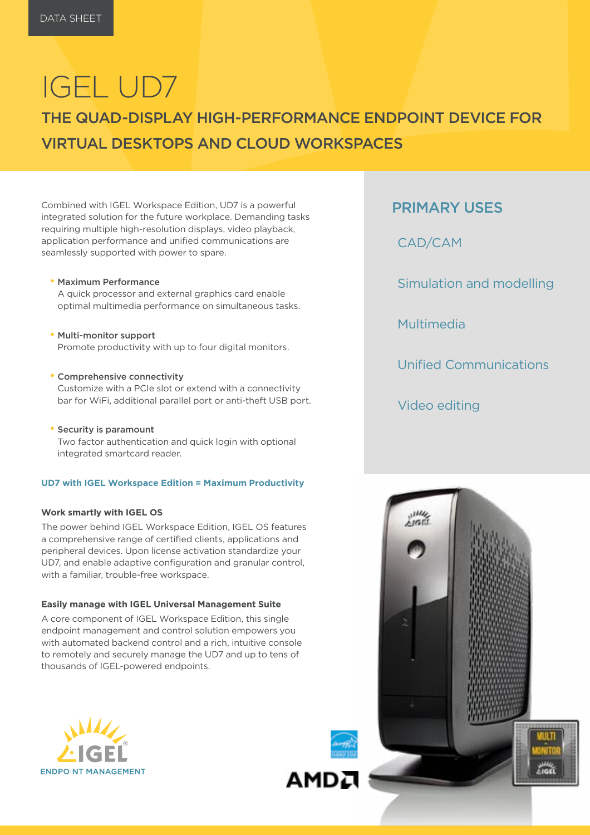# IGEL UD7

## THE QUAD-DISPLAY HIGH-PERFORMANCE ENDPOINT DEVICE FOR VIRTUAL DESKTOPS AND CLOUD WORKSPACES

Combined with IGEL Workspace Edition, UD7 is a powerful integrated solution for the future workplace. Demanding tasks requiring multiple high-resolution displays, video playback, application performance and unified communications are seamlessly supported with power to spare.

- Maximum Performance A quick processor and external graphics card enable optimal multimedia performance on simultaneous tasks.
- Multi-monitor support Promote productivity with up to four digital monitors.
- Comprehensive connectivity Customize with a PCIe slot or extend with a connectivity bar for WiFi, additional parallel port or anti-theft USB port.
- Security is paramount Two factor authentication and quick login with optional integrated smartcard reader.

#### **UD7 with IGEL Workspace Edition = Maximum Productivity**

#### **Work smartly with IGEL OS**

The power behind IGEL Workspace Edition, IGEL OS features a comprehensive range of certified clients, applications and peripheral devices. Upon license activation standardize your UD7, and enable adaptive configuration and granular control, with a familiar, trouble-free workspace.

#### **Easily manage with IGEL Universal Management Suite**

A core component of IGEL Workspace Edition, this single endpoint management and control solution empowers you with automated backend control and a rich, intuitive console to remotely and securely manage the UD7 and up to tens of thousands of IGEL-powered endpoints.





AMDA

### PRIMARY USES

CAD/CAM

Simulation and modelling

Multimedia

Unified Communications

Video editing